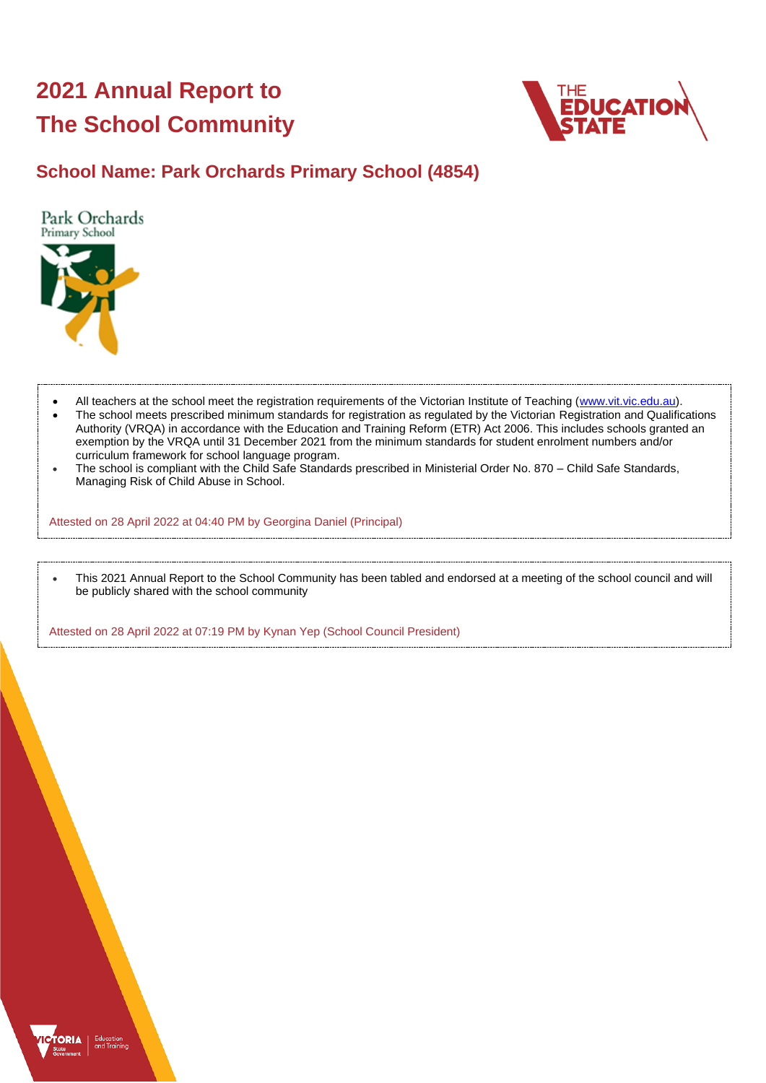# **2021 Annual Report to The School Community**



## **School Name: Park Orchards Primary School (4854)**

Park Orchards Primary School



- All teachers at the school meet the registration requirements of the Victorian Institute of Teaching [\(www.vit.vic.edu.au\)](https://www.vit.vic.edu.au/).
- The school meets prescribed minimum standards for registration as regulated by the Victorian Registration and Qualifications Authority (VRQA) in accordance with the Education and Training Reform (ETR) Act 2006. This includes schools granted an exemption by the VRQA until 31 December 2021 from the minimum standards for student enrolment numbers and/or curriculum framework for school language program.
- The school is compliant with the Child Safe Standards prescribed in Ministerial Order No. 870 Child Safe Standards, Managing Risk of Child Abuse in School.

Attested on 28 April 2022 at 04:40 PM by Georgina Daniel (Principal)

• This 2021 Annual Report to the School Community has been tabled and endorsed at a meeting of the school council and will be publicly shared with the school community

Attested on 28 April 2022 at 07:19 PM by Kynan Yep (School Council President)

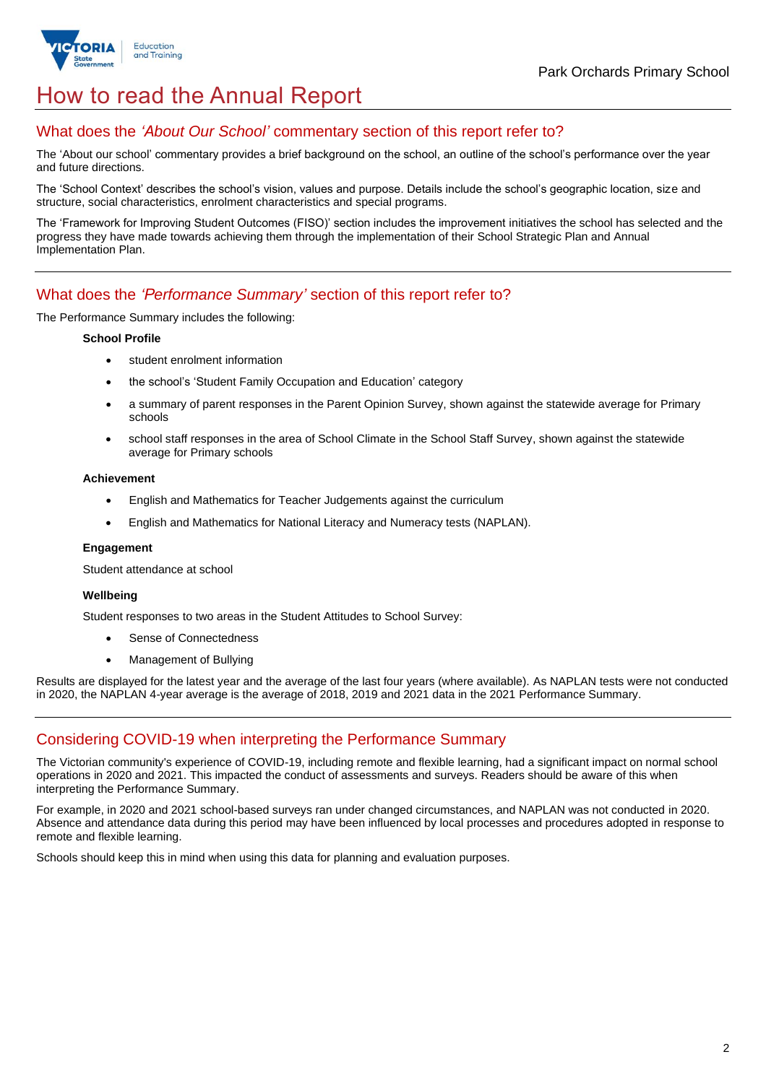

## How to read the Annual Report

## What does the *'About Our School'* commentary section of this report refer to?

The 'About our school' commentary provides a brief background on the school, an outline of the school's performance over the year and future directions.

The 'School Context' describes the school's vision, values and purpose. Details include the school's geographic location, size and structure, social characteristics, enrolment characteristics and special programs.

The 'Framework for Improving Student Outcomes (FISO)' section includes the improvement initiatives the school has selected and the progress they have made towards achieving them through the implementation of their School Strategic Plan and Annual Implementation Plan.

### What does the *'Performance Summary'* section of this report refer to?

The Performance Summary includes the following:

#### **School Profile**

- student enrolment information
- the school's 'Student Family Occupation and Education' category
- a summary of parent responses in the Parent Opinion Survey, shown against the statewide average for Primary schools
- school staff responses in the area of School Climate in the School Staff Survey, shown against the statewide average for Primary schools

#### **Achievement**

- English and Mathematics for Teacher Judgements against the curriculum
- English and Mathematics for National Literacy and Numeracy tests (NAPLAN).

#### **Engagement**

Student attendance at school

#### **Wellbeing**

Student responses to two areas in the Student Attitudes to School Survey:

- Sense of Connectedness
- Management of Bullying

Results are displayed for the latest year and the average of the last four years (where available). As NAPLAN tests were not conducted in 2020, the NAPLAN 4-year average is the average of 2018, 2019 and 2021 data in the 2021 Performance Summary.

## Considering COVID-19 when interpreting the Performance Summary

The Victorian community's experience of COVID-19, including remote and flexible learning, had a significant impact on normal school operations in 2020 and 2021. This impacted the conduct of assessments and surveys. Readers should be aware of this when interpreting the Performance Summary.

For example, in 2020 and 2021 school-based surveys ran under changed circumstances, and NAPLAN was not conducted in 2020. Absence and attendance data during this period may have been influenced by local processes and procedures adopted in response to remote and flexible learning.

Schools should keep this in mind when using this data for planning and evaluation purposes.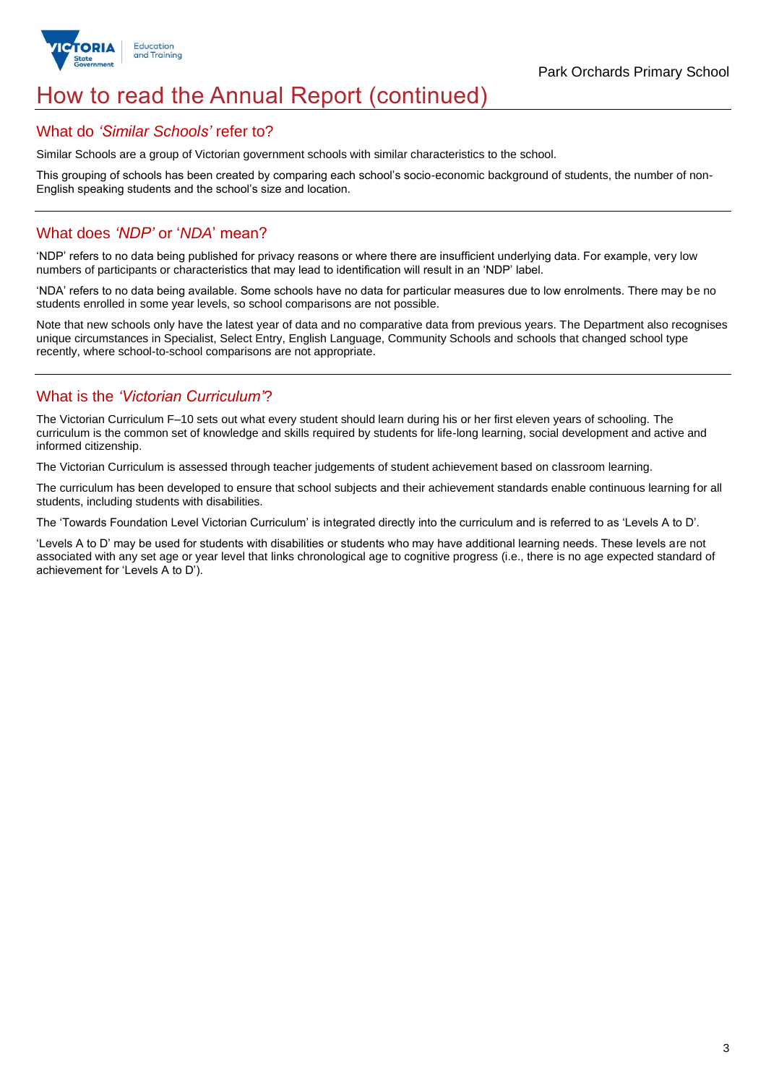

## How to read the Annual Report (continued)

### What do *'Similar Schools'* refer to?

Similar Schools are a group of Victorian government schools with similar characteristics to the school.

This grouping of schools has been created by comparing each school's socio-economic background of students, the number of non-English speaking students and the school's size and location.

## What does *'NDP'* or '*NDA*' mean?

'NDP' refers to no data being published for privacy reasons or where there are insufficient underlying data. For example, very low numbers of participants or characteristics that may lead to identification will result in an 'NDP' label.

'NDA' refers to no data being available. Some schools have no data for particular measures due to low enrolments. There may be no students enrolled in some year levels, so school comparisons are not possible.

Note that new schools only have the latest year of data and no comparative data from previous years. The Department also recognises unique circumstances in Specialist, Select Entry, English Language, Community Schools and schools that changed school type recently, where school-to-school comparisons are not appropriate.

## What is the *'Victorian Curriculum'*?

The Victorian Curriculum F–10 sets out what every student should learn during his or her first eleven years of schooling. The curriculum is the common set of knowledge and skills required by students for life-long learning, social development and active and informed citizenship.

The Victorian Curriculum is assessed through teacher judgements of student achievement based on classroom learning.

The curriculum has been developed to ensure that school subjects and their achievement standards enable continuous learning for all students, including students with disabilities.

The 'Towards Foundation Level Victorian Curriculum' is integrated directly into the curriculum and is referred to as 'Levels A to D'.

'Levels A to D' may be used for students with disabilities or students who may have additional learning needs. These levels are not associated with any set age or year level that links chronological age to cognitive progress (i.e., there is no age expected standard of achievement for 'Levels A to D').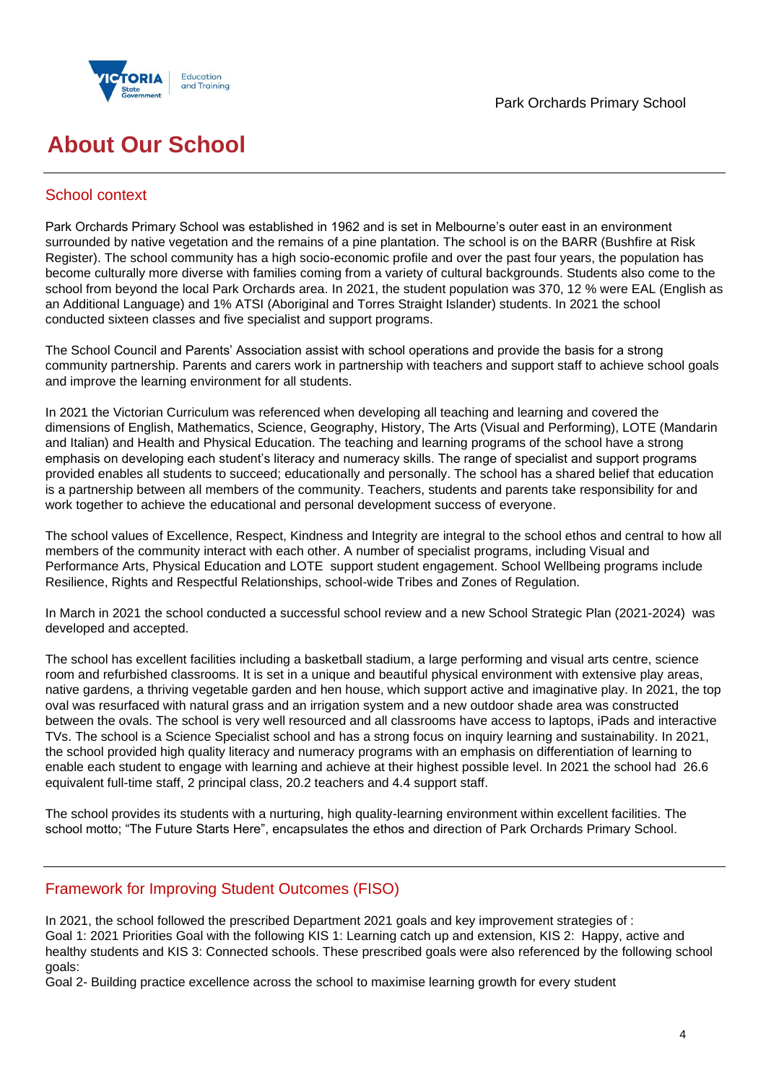



## **About Our School**

## School context

Park Orchards Primary School was established in 1962 and is set in Melbourne's outer east in an environment surrounded by native vegetation and the remains of a pine plantation. The school is on the BARR (Bushfire at Risk Register). The school community has a high socio-economic profile and over the past four years, the population has become culturally more diverse with families coming from a variety of cultural backgrounds. Students also come to the school from beyond the local Park Orchards area. In 2021, the student population was 370, 12 % were EAL (English as an Additional Language) and 1% ATSI (Aboriginal and Torres Straight Islander) students. In 2021 the school conducted sixteen classes and five specialist and support programs.

The School Council and Parents' Association assist with school operations and provide the basis for a strong community partnership. Parents and carers work in partnership with teachers and support staff to achieve school goals and improve the learning environment for all students.

In 2021 the Victorian Curriculum was referenced when developing all teaching and learning and covered the dimensions of English, Mathematics, Science, Geography, History, The Arts (Visual and Performing), LOTE (Mandarin and Italian) and Health and Physical Education. The teaching and learning programs of the school have a strong emphasis on developing each student's literacy and numeracy skills. The range of specialist and support programs provided enables all students to succeed; educationally and personally. The school has a shared belief that education is a partnership between all members of the community. Teachers, students and parents take responsibility for and work together to achieve the educational and personal development success of everyone.

The school values of Excellence, Respect, Kindness and Integrity are integral to the school ethos and central to how all members of the community interact with each other. A number of specialist programs, including Visual and Performance Arts, Physical Education and LOTE support student engagement. School Wellbeing programs include Resilience, Rights and Respectful Relationships, school-wide Tribes and Zones of Regulation.

In March in 2021 the school conducted a successful school review and a new School Strategic Plan (2021-2024) was developed and accepted.

The school has excellent facilities including a basketball stadium, a large performing and visual arts centre, science room and refurbished classrooms. It is set in a unique and beautiful physical environment with extensive play areas, native gardens, a thriving vegetable garden and hen house, which support active and imaginative play. In 2021, the top oval was resurfaced with natural grass and an irrigation system and a new outdoor shade area was constructed between the ovals. The school is very well resourced and all classrooms have access to laptops, iPads and interactive TVs. The school is a Science Specialist school and has a strong focus on inquiry learning and sustainability. In 2021, the school provided high quality literacy and numeracy programs with an emphasis on differentiation of learning to enable each student to engage with learning and achieve at their highest possible level. In 2021 the school had 26.6 equivalent full-time staff, 2 principal class, 20.2 teachers and 4.4 support staff.

The school provides its students with a nurturing, high quality-learning environment within excellent facilities. The school motto; "The Future Starts Here", encapsulates the ethos and direction of Park Orchards Primary School.

## Framework for Improving Student Outcomes (FISO)

In 2021, the school followed the prescribed Department 2021 goals and key improvement strategies of : Goal 1: 2021 Priorities Goal with the following KIS 1: Learning catch up and extension, KIS 2: Happy, active and healthy students and KIS 3: Connected schools. These prescribed goals were also referenced by the following school goals:

Goal 2- Building practice excellence across the school to maximise learning growth for every student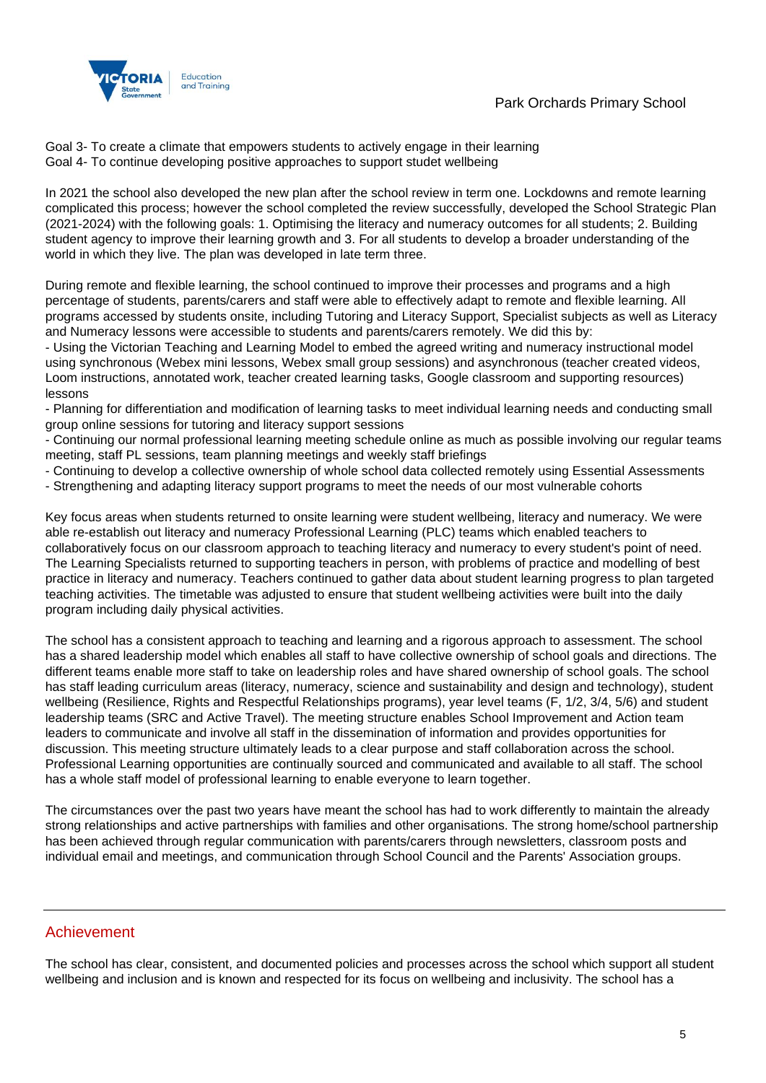

Goal 3- To create a climate that empowers students to actively engage in their learning Goal 4- To continue developing positive approaches to support studet wellbeing

In 2021 the school also developed the new plan after the school review in term one. Lockdowns and remote learning complicated this process; however the school completed the review successfully, developed the School Strategic Plan (2021-2024) with the following goals: 1. Optimising the literacy and numeracy outcomes for all students; 2. Building student agency to improve their learning growth and 3. For all students to develop a broader understanding of the world in which they live. The plan was developed in late term three.

During remote and flexible learning, the school continued to improve their processes and programs and a high percentage of students, parents/carers and staff were able to effectively adapt to remote and flexible learning. All programs accessed by students onsite, including Tutoring and Literacy Support, Specialist subjects as well as Literacy and Numeracy lessons were accessible to students and parents/carers remotely. We did this by:

- Using the Victorian Teaching and Learning Model to embed the agreed writing and numeracy instructional model using synchronous (Webex mini lessons, Webex small group sessions) and asynchronous (teacher created videos, Loom instructions, annotated work, teacher created learning tasks, Google classroom and supporting resources) lessons

- Planning for differentiation and modification of learning tasks to meet individual learning needs and conducting small group online sessions for tutoring and literacy support sessions

- Continuing our normal professional learning meeting schedule online as much as possible involving our regular teams meeting, staff PL sessions, team planning meetings and weekly staff briefings

- Continuing to develop a collective ownership of whole school data collected remotely using Essential Assessments
- Strengthening and adapting literacy support programs to meet the needs of our most vulnerable cohorts

Key focus areas when students returned to onsite learning were student wellbeing, literacy and numeracy. We were able re-establish out literacy and numeracy Professional Learning (PLC) teams which enabled teachers to collaboratively focus on our classroom approach to teaching literacy and numeracy to every student's point of need. The Learning Specialists returned to supporting teachers in person, with problems of practice and modelling of best practice in literacy and numeracy. Teachers continued to gather data about student learning progress to plan targeted teaching activities. The timetable was adjusted to ensure that student wellbeing activities were built into the daily program including daily physical activities.

The school has a consistent approach to teaching and learning and a rigorous approach to assessment. The school has a shared leadership model which enables all staff to have collective ownership of school goals and directions. The different teams enable more staff to take on leadership roles and have shared ownership of school goals. The school has staff leading curriculum areas (literacy, numeracy, science and sustainability and design and technology), student wellbeing (Resilience, Rights and Respectful Relationships programs), year level teams (F, 1/2, 3/4, 5/6) and student leadership teams (SRC and Active Travel). The meeting structure enables School Improvement and Action team leaders to communicate and involve all staff in the dissemination of information and provides opportunities for discussion. This meeting structure ultimately leads to a clear purpose and staff collaboration across the school. Professional Learning opportunities are continually sourced and communicated and available to all staff. The school has a whole staff model of professional learning to enable everyone to learn together.

The circumstances over the past two years have meant the school has had to work differently to maintain the already strong relationships and active partnerships with families and other organisations. The strong home/school partnership has been achieved through regular communication with parents/carers through newsletters, classroom posts and individual email and meetings, and communication through School Council and the Parents' Association groups.

### Achievement

The school has clear, consistent, and documented policies and processes across the school which support all student wellbeing and inclusion and is known and respected for its focus on wellbeing and inclusivity. The school has a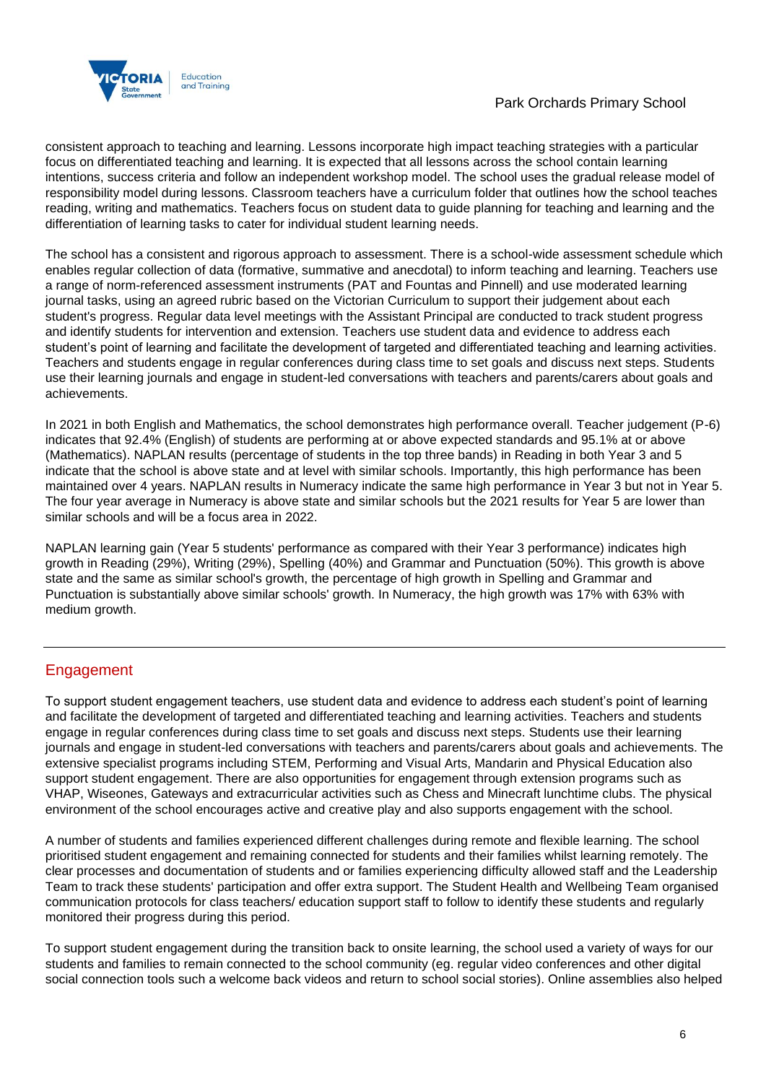

consistent approach to teaching and learning. Lessons incorporate high impact teaching strategies with a particular focus on differentiated teaching and learning. It is expected that all lessons across the school contain learning intentions, success criteria and follow an independent workshop model. The school uses the gradual release model of responsibility model during lessons. Classroom teachers have a curriculum folder that outlines how the school teaches reading, writing and mathematics. Teachers focus on student data to guide planning for teaching and learning and the differentiation of learning tasks to cater for individual student learning needs.

The school has a consistent and rigorous approach to assessment. There is a school-wide assessment schedule which enables regular collection of data (formative, summative and anecdotal) to inform teaching and learning. Teachers use a range of norm-referenced assessment instruments (PAT and Fountas and Pinnell) and use moderated learning journal tasks, using an agreed rubric based on the Victorian Curriculum to support their judgement about each student's progress. Regular data level meetings with the Assistant Principal are conducted to track student progress and identify students for intervention and extension. Teachers use student data and evidence to address each student's point of learning and facilitate the development of targeted and differentiated teaching and learning activities. Teachers and students engage in regular conferences during class time to set goals and discuss next steps. Students use their learning journals and engage in student-led conversations with teachers and parents/carers about goals and achievements.

In 2021 in both English and Mathematics, the school demonstrates high performance overall. Teacher judgement (P-6) indicates that 92.4% (English) of students are performing at or above expected standards and 95.1% at or above (Mathematics). NAPLAN results (percentage of students in the top three bands) in Reading in both Year 3 and 5 indicate that the school is above state and at level with similar schools. Importantly, this high performance has been maintained over 4 years. NAPLAN results in Numeracy indicate the same high performance in Year 3 but not in Year 5. The four year average in Numeracy is above state and similar schools but the 2021 results for Year 5 are lower than similar schools and will be a focus area in 2022.

NAPLAN learning gain (Year 5 students' performance as compared with their Year 3 performance) indicates high growth in Reading (29%), Writing (29%), Spelling (40%) and Grammar and Punctuation (50%). This growth is above state and the same as similar school's growth, the percentage of high growth in Spelling and Grammar and Punctuation is substantially above similar schools' growth. In Numeracy, the high growth was 17% with 63% with medium growth.

## **Engagement**

To support student engagement teachers, use student data and evidence to address each student's point of learning and facilitate the development of targeted and differentiated teaching and learning activities. Teachers and students engage in regular conferences during class time to set goals and discuss next steps. Students use their learning journals and engage in student-led conversations with teachers and parents/carers about goals and achievements. The extensive specialist programs including STEM, Performing and Visual Arts, Mandarin and Physical Education also support student engagement. There are also opportunities for engagement through extension programs such as VHAP, Wiseones, Gateways and extracurricular activities such as Chess and Minecraft lunchtime clubs. The physical environment of the school encourages active and creative play and also supports engagement with the school.

A number of students and families experienced different challenges during remote and flexible learning. The school prioritised student engagement and remaining connected for students and their families whilst learning remotely. The clear processes and documentation of students and or families experiencing difficulty allowed staff and the Leadership Team to track these students' participation and offer extra support. The Student Health and Wellbeing Team organised communication protocols for class teachers/ education support staff to follow to identify these students and regularly monitored their progress during this period.

To support student engagement during the transition back to onsite learning, the school used a variety of ways for our students and families to remain connected to the school community (eg. regular video conferences and other digital social connection tools such a welcome back videos and return to school social stories). Online assemblies also helped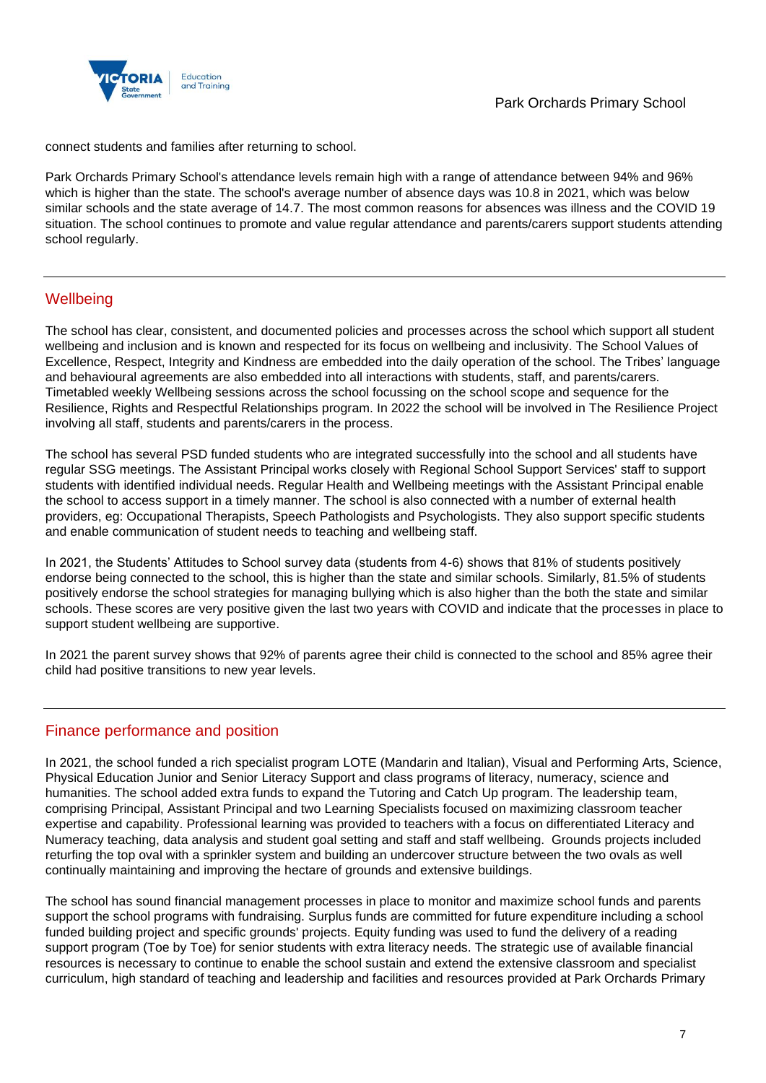

connect students and families after returning to school.

Park Orchards Primary School's attendance levels remain high with a range of attendance between 94% and 96% which is higher than the state. The school's average number of absence days was 10.8 in 2021, which was below similar schools and the state average of 14.7. The most common reasons for absences was illness and the COVID 19 situation. The school continues to promote and value regular attendance and parents/carers support students attending school regularly.

## **Wellbeing**

The school has clear, consistent, and documented policies and processes across the school which support all student wellbeing and inclusion and is known and respected for its focus on wellbeing and inclusivity. The School Values of Excellence, Respect, Integrity and Kindness are embedded into the daily operation of the school. The Tribes' language and behavioural agreements are also embedded into all interactions with students, staff, and parents/carers. Timetabled weekly Wellbeing sessions across the school focussing on the school scope and sequence for the Resilience, Rights and Respectful Relationships program. In 2022 the school will be involved in The Resilience Project involving all staff, students and parents/carers in the process.

The school has several PSD funded students who are integrated successfully into the school and all students have regular SSG meetings. The Assistant Principal works closely with Regional School Support Services' staff to support students with identified individual needs. Regular Health and Wellbeing meetings with the Assistant Principal enable the school to access support in a timely manner. The school is also connected with a number of external health providers, eg: Occupational Therapists, Speech Pathologists and Psychologists. They also support specific students and enable communication of student needs to teaching and wellbeing staff.

In 2021, the Students' Attitudes to School survey data (students from 4-6) shows that 81% of students positively endorse being connected to the school, this is higher than the state and similar schools. Similarly, 81.5% of students positively endorse the school strategies for managing bullying which is also higher than the both the state and similar schools. These scores are very positive given the last two years with COVID and indicate that the processes in place to support student wellbeing are supportive.

In 2021 the parent survey shows that 92% of parents agree their child is connected to the school and 85% agree their child had positive transitions to new year levels.

### Finance performance and position

In 2021, the school funded a rich specialist program LOTE (Mandarin and Italian), Visual and Performing Arts, Science, Physical Education Junior and Senior Literacy Support and class programs of literacy, numeracy, science and humanities. The school added extra funds to expand the Tutoring and Catch Up program. The leadership team, comprising Principal, Assistant Principal and two Learning Specialists focused on maximizing classroom teacher expertise and capability. Professional learning was provided to teachers with a focus on differentiated Literacy and Numeracy teaching, data analysis and student goal setting and staff and staff wellbeing. Grounds projects included returfing the top oval with a sprinkler system and building an undercover structure between the two ovals as well continually maintaining and improving the hectare of grounds and extensive buildings.

The school has sound financial management processes in place to monitor and maximize school funds and parents support the school programs with fundraising. Surplus funds are committed for future expenditure including a school funded building project and specific grounds' projects. Equity funding was used to fund the delivery of a reading support program (Toe by Toe) for senior students with extra literacy needs. The strategic use of available financial resources is necessary to continue to enable the school sustain and extend the extensive classroom and specialist curriculum, high standard of teaching and leadership and facilities and resources provided at Park Orchards Primary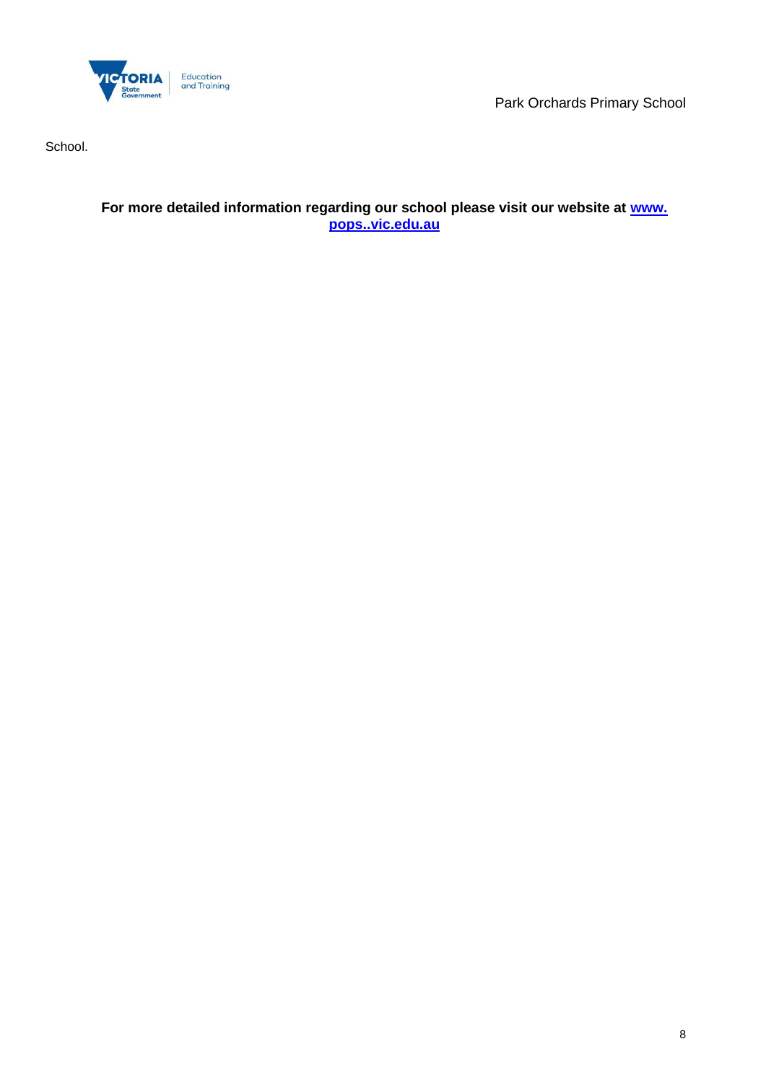

Park Orchards Primary School

School.

**For more detailed information regarding our school please visit our website at [www.](file:///C:/Users/01191297/Downloads/www)  [pops..vic.edu.au](file:///C:/Users/01191297/Downloads/www)**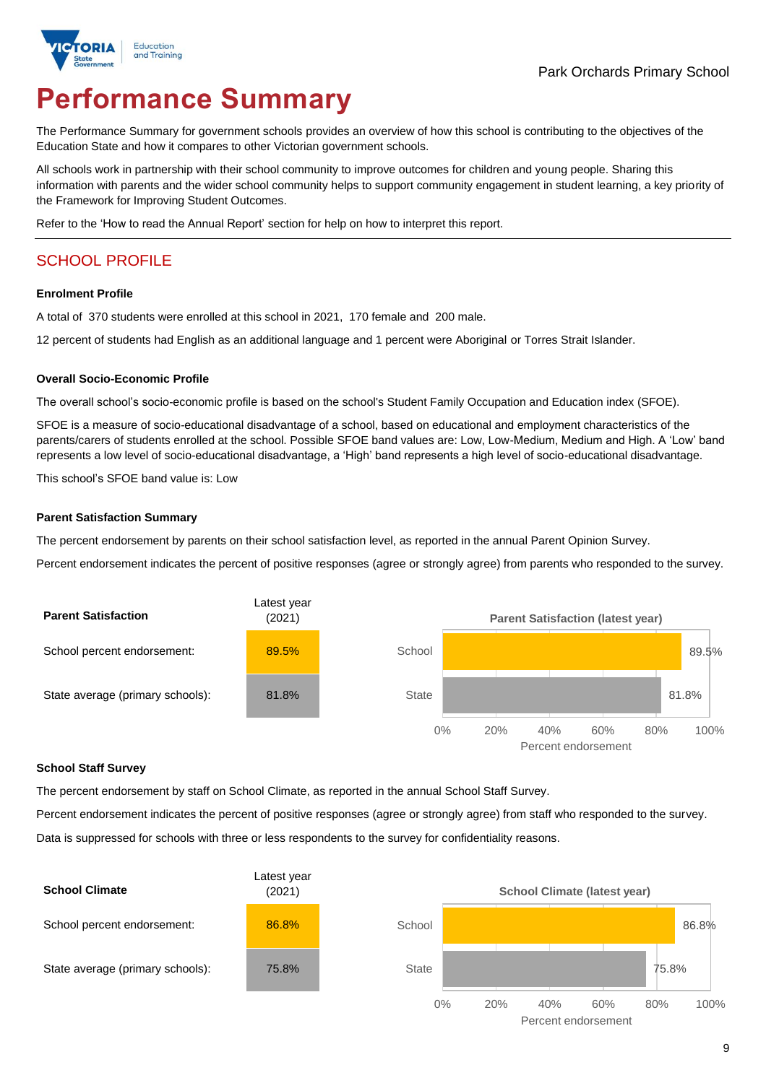

# **Performance Summary**

The Performance Summary for government schools provides an overview of how this school is contributing to the objectives of the Education State and how it compares to other Victorian government schools.

All schools work in partnership with their school community to improve outcomes for children and young people. Sharing this information with parents and the wider school community helps to support community engagement in student learning, a key priority of the Framework for Improving Student Outcomes.

Refer to the 'How to read the Annual Report' section for help on how to interpret this report.

## SCHOOL PROFILE

#### **Enrolment Profile**

A total of 370 students were enrolled at this school in 2021, 170 female and 200 male.

12 percent of students had English as an additional language and 1 percent were Aboriginal or Torres Strait Islander.

#### **Overall Socio-Economic Profile**

The overall school's socio-economic profile is based on the school's Student Family Occupation and Education index (SFOE).

SFOE is a measure of socio-educational disadvantage of a school, based on educational and employment characteristics of the parents/carers of students enrolled at the school. Possible SFOE band values are: Low, Low-Medium, Medium and High. A 'Low' band represents a low level of socio-educational disadvantage, a 'High' band represents a high level of socio-educational disadvantage.

This school's SFOE band value is: Low

#### **Parent Satisfaction Summary**

The percent endorsement by parents on their school satisfaction level, as reported in the annual Parent Opinion Survey.

Percent endorsement indicates the percent of positive responses (agree or strongly agree) from parents who responded to the survey.



#### **School Staff Survey**

The percent endorsement by staff on School Climate, as reported in the annual School Staff Survey.

Percent endorsement indicates the percent of positive responses (agree or strongly agree) from staff who responded to the survey. Data is suppressed for schools with three or less respondents to the survey for confidentiality reasons.

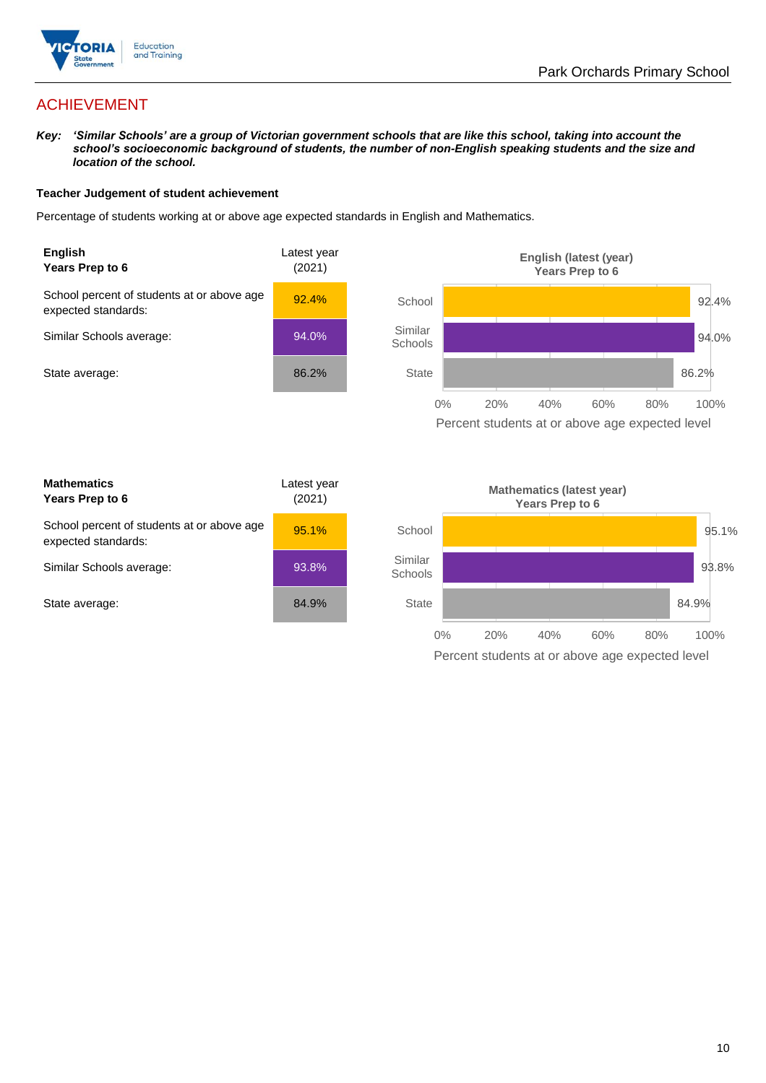

## ACHIEVEMENT

*Key: 'Similar Schools' are a group of Victorian government schools that are like this school, taking into account the school's socioeconomic background of students, the number of non-English speaking students and the size and location of the school.*

#### **Teacher Judgement of student achievement**

Percentage of students working at or above age expected standards in English and Mathematics.



Percent students at or above age expected level

| <b>Mathematics</b><br>Years Prep to 6                             | Latest year<br>(2021) |
|-------------------------------------------------------------------|-----------------------|
| School percent of students at or above age<br>expected standards: | 95.1%                 |
| Similar Schools average:                                          | 93.8%                 |
| State average:                                                    | 84.9%                 |

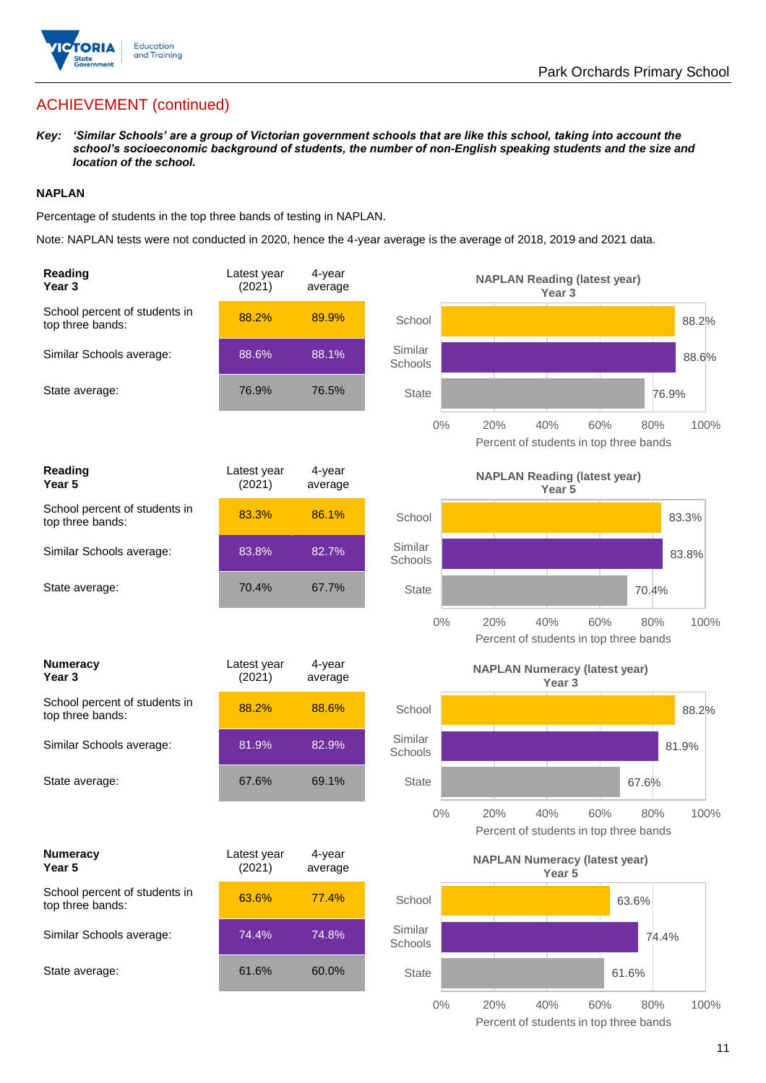

## ACHIEVEMENT (continued)

*Key: 'Similar Schools' are a group of Victorian government schools that are like this school, taking into account the school's socioeconomic background of students, the number of non-English speaking students and the size and location of the school.*

#### **NAPLAN**

Percentage of students in the top three bands of testing in NAPLAN.

Note: NAPLAN tests were not conducted in 2020, hence the 4-year average is the average of 2018, 2019 and 2021 data.

| Reading<br>Year <sub>3</sub>                      | Latest year<br>(2021) | 4-year<br>average |                    | <b>NAPLAN Reading (latest year)</b><br>Year <sub>3</sub>                   |
|---------------------------------------------------|-----------------------|-------------------|--------------------|----------------------------------------------------------------------------|
| School percent of students in<br>top three bands: | 88.2%                 | 89.9%             | School             | 88.2%                                                                      |
| Similar Schools average:                          | 88.6%                 | 88.1%             | Similar<br>Schools | 88.6%                                                                      |
| State average:                                    | 76.9%                 | 76.5%             | <b>State</b>       | 76.9%                                                                      |
|                                                   |                       |                   | $0\%$              | 20%<br>40%<br>60%<br>100%<br>80%<br>Percent of students in top three bands |
| Reading<br>Year <sub>5</sub>                      | Latest year<br>(2021) | 4-year<br>average |                    | <b>NAPLAN Reading (latest year)</b><br>Year <sub>5</sub>                   |
| School percent of students in<br>top three bands: | 83.3%                 | 86.1%             | School             | 83.3%                                                                      |
| Similar Schools average:                          | 83.8%                 | 82.7%             | Similar<br>Schools | 83.8%                                                                      |
| State average:                                    | 70.4%                 | 67.7%             | <b>State</b>       | 70.4%                                                                      |
|                                                   |                       |                   | $0\%$              | 20%<br>40%<br>60%<br>80%<br>100%<br>Percent of students in top three bands |
|                                                   |                       |                   |                    |                                                                            |
| <b>Numeracy</b><br>Year 3                         | Latest year<br>(2021) | 4-year<br>average |                    | <b>NAPLAN Numeracy (latest year)</b><br>Year <sub>3</sub>                  |
| School percent of students in<br>top three bands: | 88.2%                 | 88.6%             | School             | 88.2%                                                                      |
| Similar Schools average:                          | 81.9%                 | 82.9%             | Similar<br>Schools | 81.9%                                                                      |
| State average:                                    | 67.6%                 | 69.1%             | <b>State</b>       | 67.6%                                                                      |
|                                                   |                       |                   | $0\%$              | 20%<br>40%<br>60%<br>80%<br>100%<br>Percent of students in top three bands |
| <b>Numeracy</b><br>Year 5                         | Latest year<br>(2021) | 4-year<br>average |                    | <b>NAPLAN Numeracy (latest year)</b><br>Year 5                             |
| School percent of students in<br>top three bands: | 63.6%                 | 77.4%             | School             | 63.6%                                                                      |
| Similar Schools average:                          | 74.4%                 | 74.8%             | Similar<br>Schools | 74.4%                                                                      |
| State average:                                    | 61.6%                 | 60.0%             | <b>State</b>       | 61.6%                                                                      |

11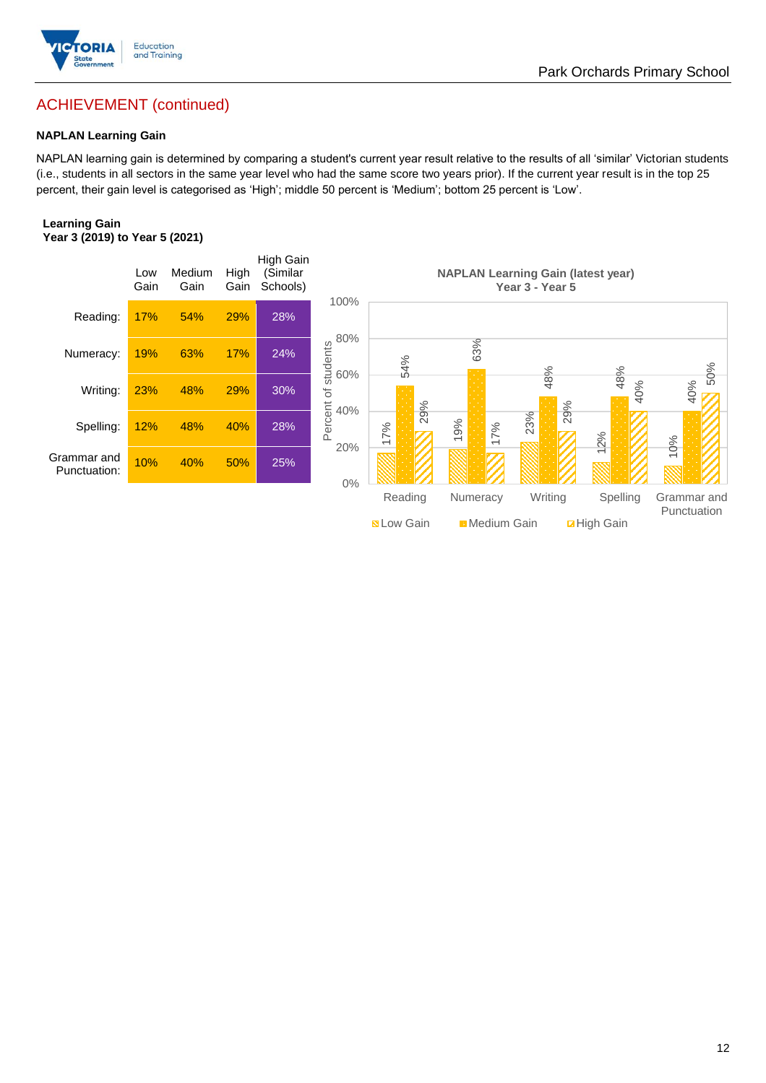

## ACHIEVEMENT (continued)

#### **NAPLAN Learning Gain**

NAPLAN learning gain is determined by comparing a student's current year result relative to the results of all 'similar' Victorian students (i.e., students in all sectors in the same year level who had the same score two years prior). If the current year result is in the top 25 percent, their gain level is categorised as 'High'; middle 50 percent is 'Medium'; bottom 25 percent is 'Low'.

Park Orchards Primary School

#### **Learning Gain Year 3 (2019) to Year 5 (2021)**



**BLow Gain** Medium Gain **Example 10**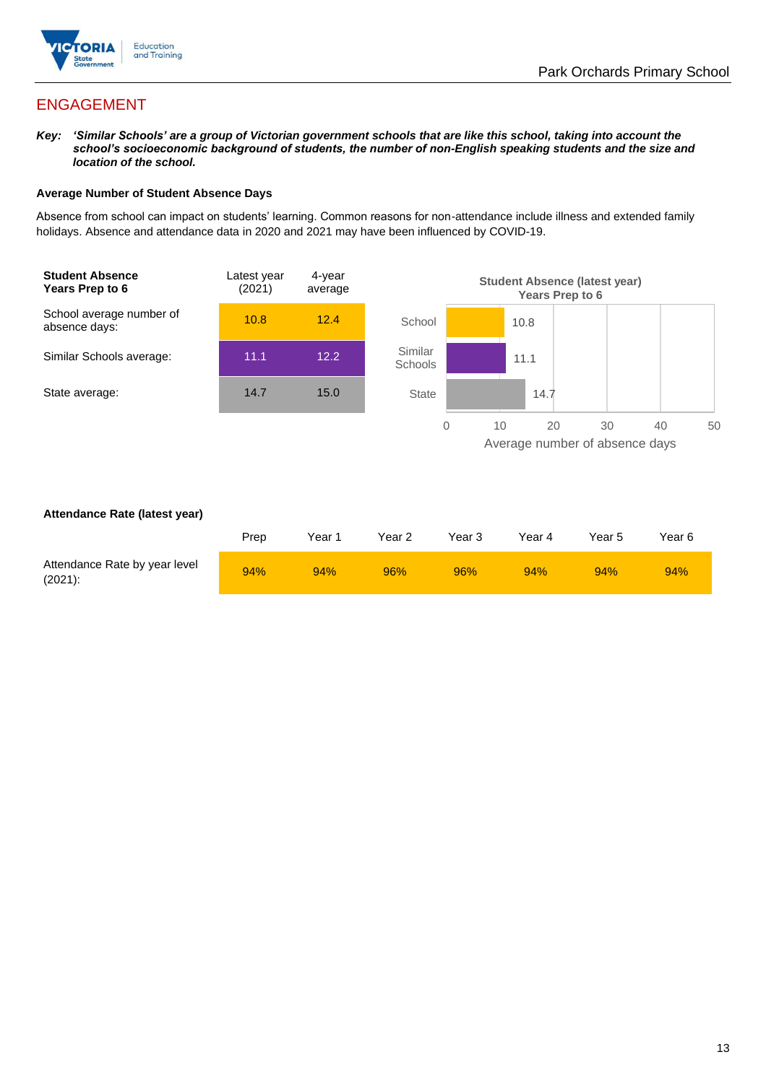

## ENGAGEMENT

*Key: 'Similar Schools' are a group of Victorian government schools that are like this school, taking into account the school's socioeconomic background of students, the number of non-English speaking students and the size and location of the school.*

#### **Average Number of Student Absence Days**

Absence from school can impact on students' learning. Common reasons for non-attendance include illness and extended family holidays. Absence and attendance data in 2020 and 2021 may have been influenced by COVID-19.



#### **Attendance Rate (latest year)**

|                                             | Prep | Year 1 | Year 2 | Year 3 | Year 4 | Year 5 | Year 6 |
|---------------------------------------------|------|--------|--------|--------|--------|--------|--------|
| Attendance Rate by year level<br>$(2021)$ : | 94%  | 94%    | 96%    | 96%    | 94%    | 94%    | 94%    |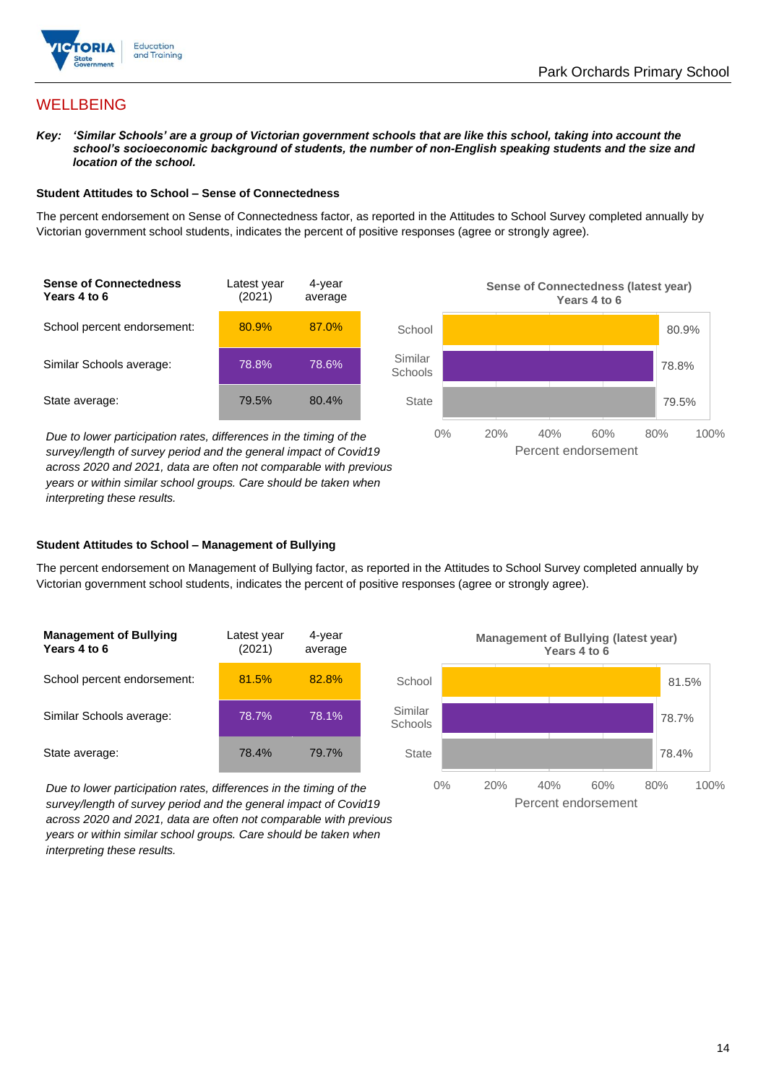

## **WELLBEING**

*Key: 'Similar Schools' are a group of Victorian government schools that are like this school, taking into account the school's socioeconomic background of students, the number of non-English speaking students and the size and location of the school.*

#### **Student Attitudes to School – Sense of Connectedness**

The percent endorsement on Sense of Connectedness factor, as reported in the Attitudes to School Survey completed annually by Victorian government school students, indicates the percent of positive responses (agree or strongly agree).

| <b>Sense of Connectedness</b><br>Years 4 to 6 | Latest year<br>(2021) | 4-year<br>average |
|-----------------------------------------------|-----------------------|-------------------|
| School percent endorsement:                   | 80.9%                 | 87.0%             |
| Similar Schools average:                      | 78.8%                 | 78.6%             |
| State average:                                | 79.5%                 | 80.4%             |

*Due to lower participation rates, differences in the timing of the survey/length of survey period and the general impact of Covid19 across 2020 and 2021, data are often not comparable with previous years or within similar school groups. Care should be taken when interpreting these results.*



#### **Student Attitudes to School – Management of Bullying**

The percent endorsement on Management of Bullying factor, as reported in the Attitudes to School Survey completed annually by Victorian government school students, indicates the percent of positive responses (agree or strongly agree).

| <b>Management of Bullying</b><br>Years 4 to 6 | Latest year<br>(2021) | 4-year<br>average |  |
|-----------------------------------------------|-----------------------|-------------------|--|
| School percent endorsement:                   | 81.5%                 | 82.8%             |  |
| Similar Schools average:                      | 78.7%                 | 78.1%             |  |
| State average:                                | 78.4%                 | 79.7%             |  |

*Due to lower participation rates, differences in the timing of the survey/length of survey period and the general impact of Covid19 across 2020 and 2021, data are often not comparable with previous years or within similar school groups. Care should be taken when interpreting these results.*

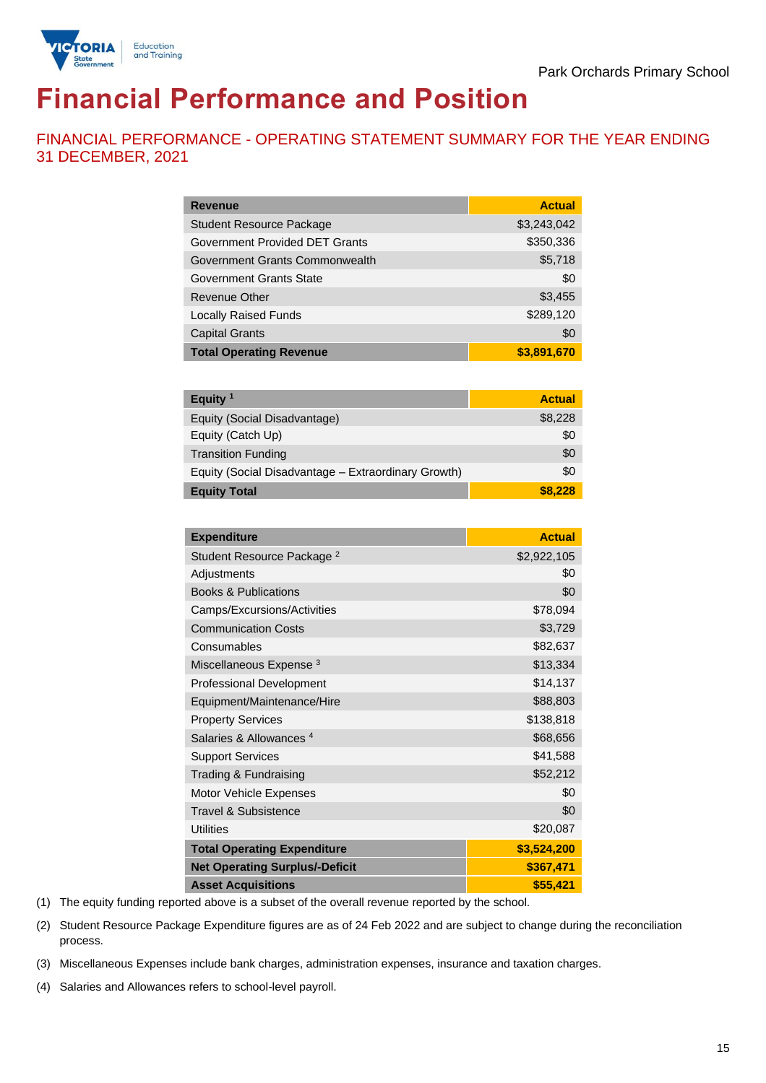

# **Financial Performance and Position**

FINANCIAL PERFORMANCE - OPERATING STATEMENT SUMMARY FOR THE YEAR ENDING 31 DECEMBER, 2021

| <b>Revenue</b>                  | <b>Actual</b> |
|---------------------------------|---------------|
| <b>Student Resource Package</b> | \$3,243,042   |
| Government Provided DET Grants  | \$350,336     |
| Government Grants Commonwealth  | \$5,718       |
| Government Grants State         | \$0           |
| Revenue Other                   | \$3,455       |
| <b>Locally Raised Funds</b>     | \$289,120     |
| <b>Capital Grants</b>           | \$0           |
| <b>Total Operating Revenue</b>  | \$3,891,670   |

| Equity $1$                                          | <b>Actual</b> |
|-----------------------------------------------------|---------------|
| Equity (Social Disadvantage)                        | \$8,228       |
| Equity (Catch Up)                                   | \$0           |
| <b>Transition Funding</b>                           | \$0           |
| Equity (Social Disadvantage - Extraordinary Growth) | \$0           |
| <b>Equity Total</b>                                 | \$8.228       |

| <b>Expenditure</b>                    | <b>Actual</b> |
|---------------------------------------|---------------|
| Student Resource Package <sup>2</sup> | \$2,922,105   |
| Adjustments                           | \$0           |
| <b>Books &amp; Publications</b>       | \$0           |
| Camps/Excursions/Activities           | \$78,094      |
| <b>Communication Costs</b>            | \$3,729       |
| Consumables                           | \$82,637      |
| Miscellaneous Expense <sup>3</sup>    | \$13,334      |
| <b>Professional Development</b>       | \$14,137      |
| Equipment/Maintenance/Hire            | \$88,803      |
| <b>Property Services</b>              | \$138,818     |
| Salaries & Allowances <sup>4</sup>    | \$68,656      |
| <b>Support Services</b>               | \$41,588      |
| Trading & Fundraising                 | \$52,212      |
| Motor Vehicle Expenses                | \$0           |
| Travel & Subsistence                  | \$0           |
| <b>Utilities</b>                      | \$20,087      |
| <b>Total Operating Expenditure</b>    | \$3,524,200   |
| <b>Net Operating Surplus/-Deficit</b> | \$367,471     |
| <b>Asset Acquisitions</b>             | \$55,421      |

(1) The equity funding reported above is a subset of the overall revenue reported by the school.

(2) Student Resource Package Expenditure figures are as of 24 Feb 2022 and are subject to change during the reconciliation process.

(3) Miscellaneous Expenses include bank charges, administration expenses, insurance and taxation charges.

(4) Salaries and Allowances refers to school-level payroll.